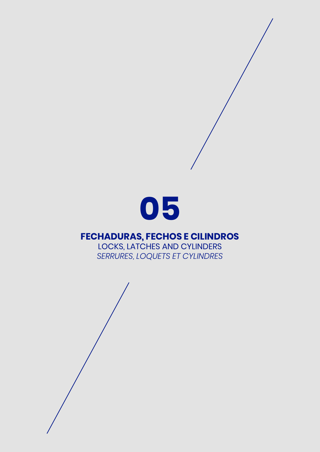

## **FECHADURAS, FECHOS E CILINDROS**

LOCKS, LATCHES AND CYLINDERS *SERRURES, LOQUETS ET CYLINDRES*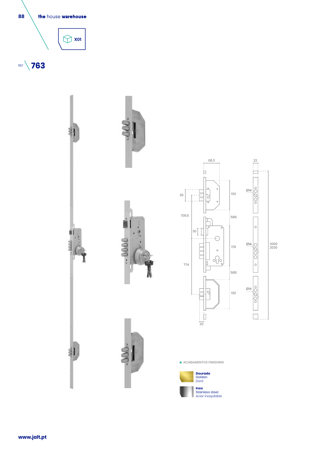







**ACABAMENTOS** *FINISHING*



**Inox** Stainless steel *Acier inoxydable*

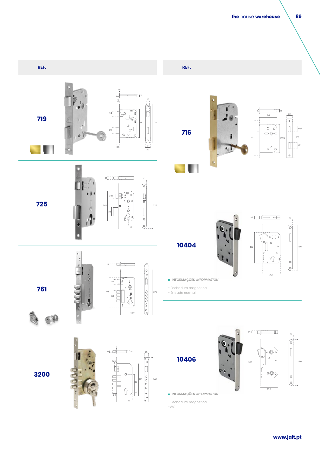

-WC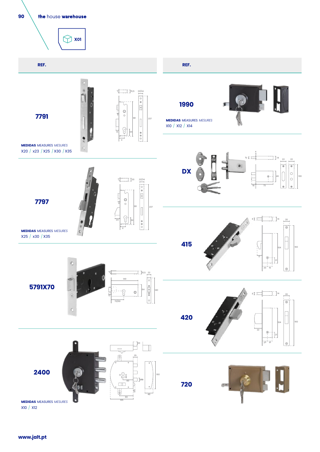**90** the house warehouse  $\bigcirc$  xol **REF. REF.**  $\overline{\phantom{1}}$  [15,5] 4  $\frac{22/24}{\phantom{0}}$  $\boxed{\circ \circ \sqrt{0} \sqrt{0}}$ **1990**  $\begin{matrix} 0 \\ 0 \end{matrix}$ **7791**  $\begin{array}{c} \hline \end{array}$ 181 237 **MEDIDAS** MEASURES*MESURES* X10 / X12 / X14  $\sqrt{2}$  $\begin{matrix} \circ \\ \circ \\ \circ \end{matrix}$  $\boldsymbol{\mathsf{x}}$ **MEDIDAS** MEASURES*MESURES*  $\mathbf{S}$ X20 / x23 / X25 / X30 / X35 4 <sup>22</sup> <sup>22</sup> <sup>10</sup> <sup>14</sup> **DX**  $\mathsf{C}$ 46 11 11 11 11 11 11 11 10 0  $\overline{\phantom{a}}$  [20  $22/24$   $\boxed{0}$   $\boxed{0}$ 4 18 18 73 er - L  $\circ$ **7797**  $\begin{array}{|c|c|} \hline \rule{0pt}{12pt} \rule{0pt}{2pt} \rule{0pt}{2pt} \rule{0pt}{2pt} \end{array}$ 237  $\bigcirc$ <sup>20</sup> 8 <sup>14</sup>  $\begin{matrix} \oplus \\ \oplus \\ \odot \end{matrix}$  $\overline{\circ}$ **MEDIDAS** MEASURES*MESURES* X  $\circ$ X25 / x30 / X35  $\Box$ **415**  $\begin{array}{|c|c|c|c|c|}\n\hline\n04 & & \\\hline\n\end{array}$ M  $\oplus$ ö  $rac{1}{2}$  $\odot$  $\mathbb{I}$  15,5  $\frac{22}{1}$  $\overline{\circ}$ 149 **5791X70**  $\frac{1}{\theta \sum_{i} \theta_{i}}$  $\bigcirc$  $8\Gamma$   $\frac{1}{20}$   $\frac{1}{20}$ Ġ  $\overline{\circ}$ 70/90  $\Box$ **420**  $\overline{\phantom{0}}$ <sub>04</sub>  $\overline{\phantom{0}}$ 22  $\oplus$  $\overline{\phantom{a}}$  20  $\circledcirc$ 20 16 Ē  $\frac{1}{\sqrt{2}}$ 25  $\sqrt{2}$ ┑

**720**

作用

160

48

10

 $\overline{\phantom{0}}$ 

 $\Box$ 

60

135 80

 $\begin{array}{c} \circ \\ \circ \\ \circ \end{array}$ 

 $\circ \underset{\longleftarrow}{\bigcirc}$ 

 $\boxed{\square}$ 

٥

**2400**

**MEDIDAS** MEASURES*MESURES* X10 / X12

**www.jalt.pt**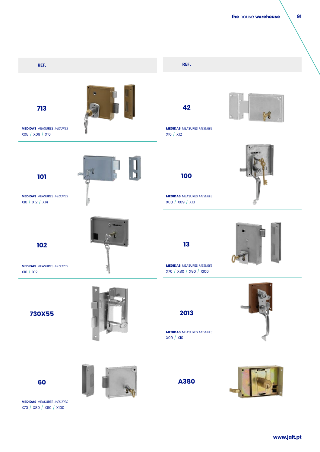**91**



**A380**

**60**

**MEDIDAS** MEASURES*MESURES* X70 / X80 / X90 / X100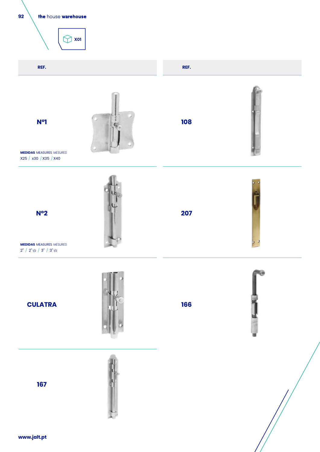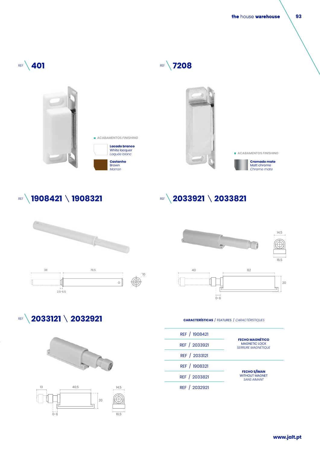the house warehouse



## REF **1908421 1908321**





REF **2033921 \2033821** 

REF **2033121 \2032921** 





## **CARACTERÍSTICAS** /FEATURES /*CARACTÉRISTIQUES*

| REF / 1908421 | <b>FECHO MAGNÉTICO</b><br><b>MAGNETIC LOCK</b><br><b>SERRURE MAGNÉTIOUE</b> |
|---------------|-----------------------------------------------------------------------------|
| REF / 2033921 |                                                                             |
| REF / 2033121 |                                                                             |
| REF / 1908321 | <b>FECHO S/ÍMAN</b><br><b>WITHOUT MAGNET</b><br><b>SANS AIMANT</b>          |
| REF / 2033821 |                                                                             |
| REF / 2032921 |                                                                             |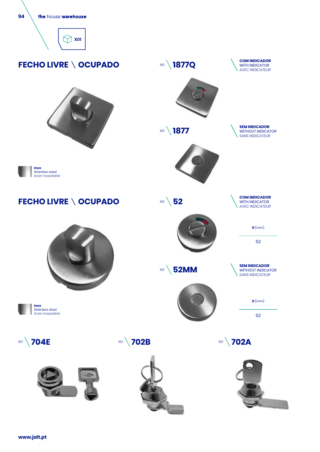







**FECHO LIVRE \ OCUPADO** 

















52

**SEM INDICADOR** WITHOUT INDICATOR *SANS INDICATEUR*

**D** (mm)



**REF** 52MM

52